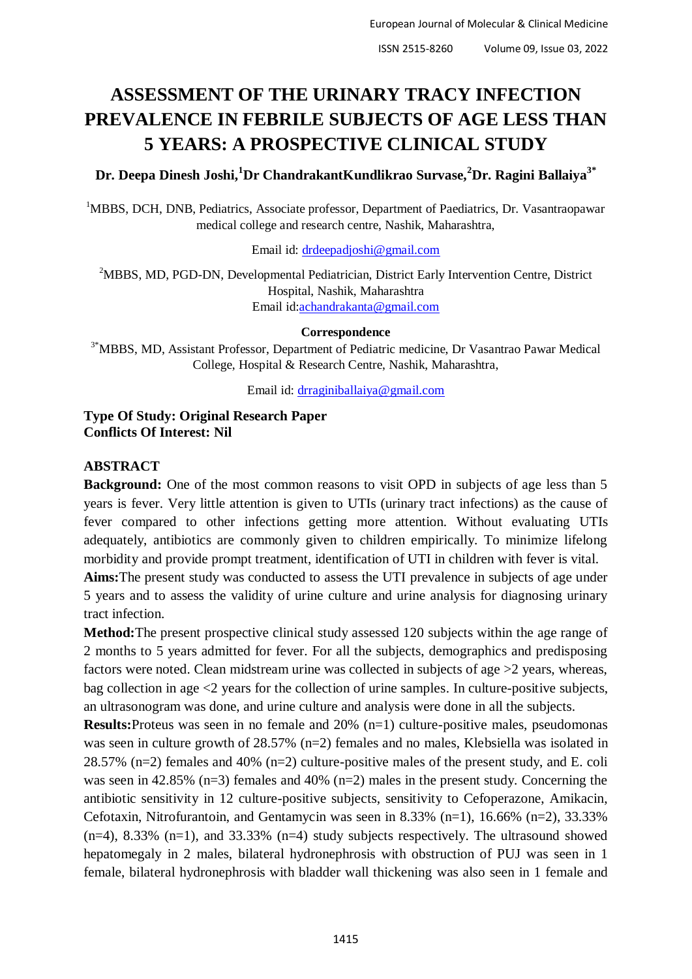# **ASSESSMENT OF THE URINARY TRACY INFECTION PREVALENCE IN FEBRILE SUBJECTS OF AGE LESS THAN 5 YEARS: A PROSPECTIVE CLINICAL STUDY**

**Dr. Deepa Dinesh Joshi,<sup>1</sup>Dr ChandrakantKundlikrao Survase,<sup>2</sup>Dr. Ragini Ballaiya3\***

<sup>1</sup>MBBS, DCH, DNB, Pediatrics, Associate professor, Department of Paediatrics, Dr. Vasantraopawar medical college and research centre, Nashik, Maharashtra,

Email id: [drdeepadjoshi@gmail.com](mailto:drdeepadjoshi@gmail.com)

<sup>2</sup>MBBS, MD, PGD-DN, Developmental Pediatrician, District Early Intervention Centre, District Hospital, Nashik, Maharashtra Email id[:achandrakanta@gmail.com](mailto:achandrakanta@gmail.com)

#### **Correspondence**

3\*MBBS, MD, Assistant Professor, Department of Pediatric medicine, Dr Vasantrao Pawar Medical College, Hospital & Research Centre, Nashik, Maharashtra,

Email id: [drraginiballaiya@gmail.com](mailto:drraginiballaiya@gmail.com)

**Type Of Study: Original Research Paper Conflicts Of Interest: Nil**

## **ABSTRACT**

**Background:** One of the most common reasons to visit OPD in subjects of age less than 5 years is fever. Very little attention is given to UTIs (urinary tract infections) as the cause of fever compared to other infections getting more attention. Without evaluating UTIs adequately, antibiotics are commonly given to children empirically. To minimize lifelong morbidity and provide prompt treatment, identification of UTI in children with fever is vital.

**Aims:**The present study was conducted to assess the UTI prevalence in subjects of age under 5 years and to assess the validity of urine culture and urine analysis for diagnosing urinary tract infection.

**Method:**The present prospective clinical study assessed 120 subjects within the age range of 2 months to 5 years admitted for fever. For all the subjects, demographics and predisposing factors were noted. Clean midstream urine was collected in subjects of age >2 years, whereas, bag collection in age  $\leq$  years for the collection of urine samples. In culture-positive subjects, an ultrasonogram was done, and urine culture and analysis were done in all the subjects.

**Results:**Proteus was seen in no female and 20% (n=1) culture-positive males, pseudomonas was seen in culture growth of 28.57% (n=2) females and no males, Klebsiella was isolated in 28.57% (n=2) females and 40% (n=2) culture-positive males of the present study, and E. coli was seen in 42.85% (n=3) females and 40% (n=2) males in the present study. Concerning the antibiotic sensitivity in 12 culture-positive subjects, sensitivity to Cefoperazone, Amikacin, Cefotaxin, Nitrofurantoin, and Gentamycin was seen in 8.33% (n=1), 16.66% (n=2), 33.33%  $(n=4)$ , 8.33%  $(n=1)$ , and 33.33%  $(n=4)$  study subjects respectively. The ultrasound showed hepatomegaly in 2 males, bilateral hydronephrosis with obstruction of PUJ was seen in 1 female, bilateral hydronephrosis with bladder wall thickening was also seen in 1 female and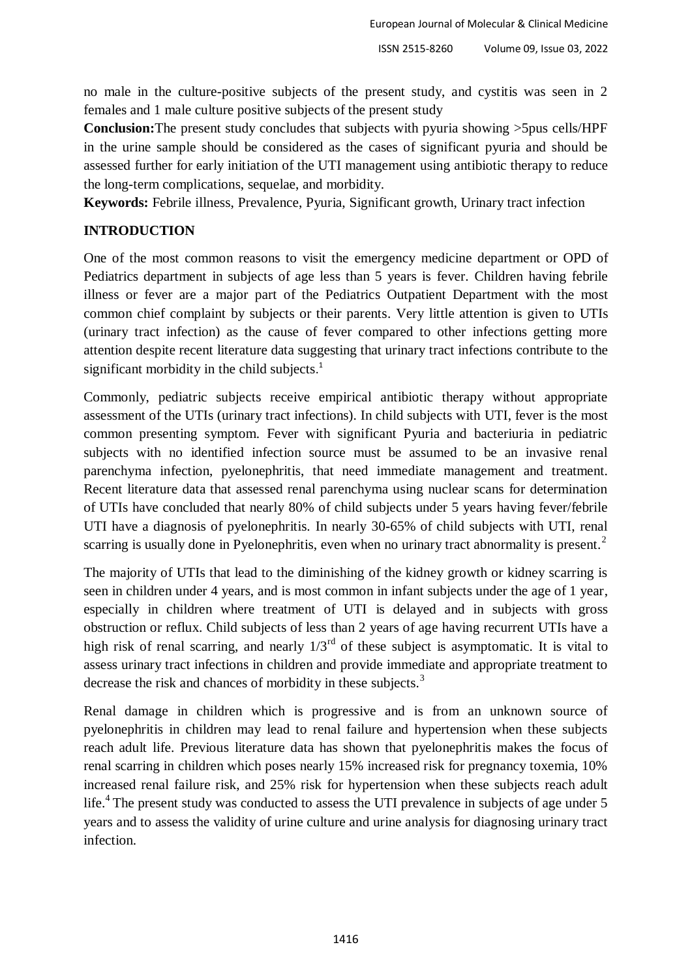no male in the culture-positive subjects of the present study, and cystitis was seen in 2 females and 1 male culture positive subjects of the present study

**Conclusion:**The present study concludes that subjects with pyuria showing >5pus cells/HPF in the urine sample should be considered as the cases of significant pyuria and should be assessed further for early initiation of the UTI management using antibiotic therapy to reduce the long-term complications, sequelae, and morbidity.

**Keywords:** Febrile illness, Prevalence, Pyuria, Significant growth, Urinary tract infection

# **INTRODUCTION**

One of the most common reasons to visit the emergency medicine department or OPD of Pediatrics department in subjects of age less than 5 years is fever. Children having febrile illness or fever are a major part of the Pediatrics Outpatient Department with the most common chief complaint by subjects or their parents. Very little attention is given to UTIs (urinary tract infection) as the cause of fever compared to other infections getting more attention despite recent literature data suggesting that urinary tract infections contribute to the significant morbidity in the child subjects.<sup>1</sup>

Commonly, pediatric subjects receive empirical antibiotic therapy without appropriate assessment of the UTIs (urinary tract infections). In child subjects with UTI, fever is the most common presenting symptom. Fever with significant Pyuria and bacteriuria in pediatric subjects with no identified infection source must be assumed to be an invasive renal parenchyma infection, pyelonephritis, that need immediate management and treatment. Recent literature data that assessed renal parenchyma using nuclear scans for determination of UTIs have concluded that nearly 80% of child subjects under 5 years having fever/febrile UTI have a diagnosis of pyelonephritis. In nearly 30-65% of child subjects with UTI, renal scarring is usually done in Pyelonephritis, even when no urinary tract abnormality is present.<sup>2</sup>

The majority of UTIs that lead to the diminishing of the kidney growth or kidney scarring is seen in children under 4 years, and is most common in infant subjects under the age of 1 year, especially in children where treatment of UTI is delayed and in subjects with gross obstruction or reflux. Child subjects of less than 2 years of age having recurrent UTIs have a high risk of renal scarring, and nearly  $1/3^{rd}$  of these subject is asymptomatic. It is vital to assess urinary tract infections in children and provide immediate and appropriate treatment to decrease the risk and chances of morbidity in these subjects.<sup>3</sup>

Renal damage in children which is progressive and is from an unknown source of pyelonephritis in children may lead to renal failure and hypertension when these subjects reach adult life. Previous literature data has shown that pyelonephritis makes the focus of renal scarring in children which poses nearly 15% increased risk for pregnancy toxemia, 10% increased renal failure risk, and 25% risk for hypertension when these subjects reach adult life.<sup>4</sup> The present study was conducted to assess the UTI prevalence in subjects of age under 5 years and to assess the validity of urine culture and urine analysis for diagnosing urinary tract infection.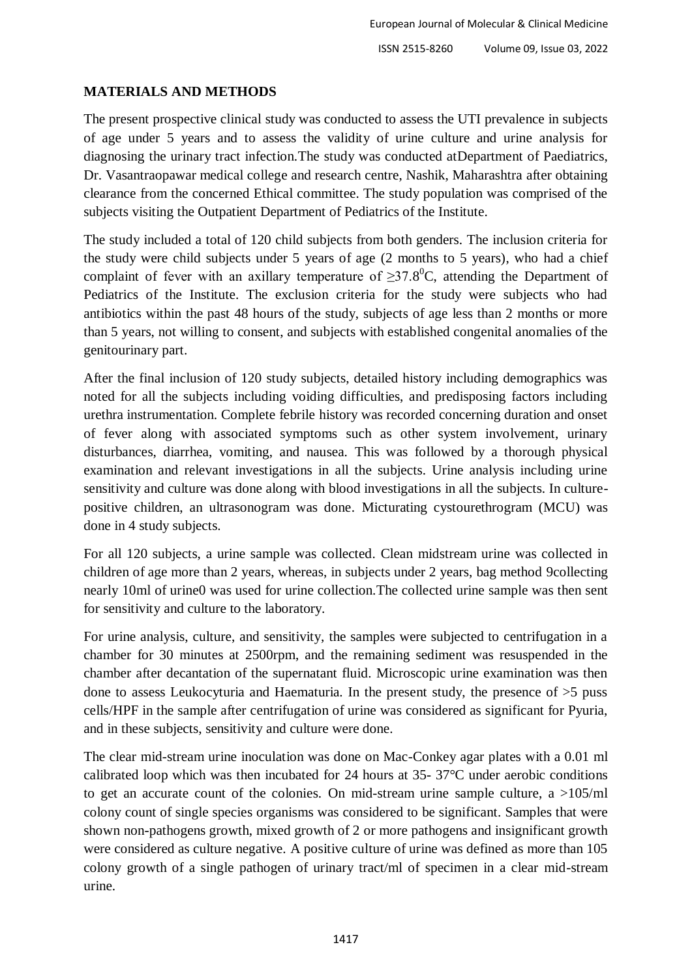# **MATERIALS AND METHODS**

The present prospective clinical study was conducted to assess the UTI prevalence in subjects of age under 5 years and to assess the validity of urine culture and urine analysis for diagnosing the urinary tract infection.The study was conducted atDepartment of Paediatrics, Dr. Vasantraopawar medical college and research centre, Nashik, Maharashtra after obtaining clearance from the concerned Ethical committee. The study population was comprised of the subjects visiting the Outpatient Department of Pediatrics of the Institute.

The study included a total of 120 child subjects from both genders. The inclusion criteria for the study were child subjects under 5 years of age (2 months to 5 years), who had a chief complaint of fever with an axillary temperature of  $\geq 37.8^{\circ}$ C, attending the Department of Pediatrics of the Institute. The exclusion criteria for the study were subjects who had antibiotics within the past 48 hours of the study, subjects of age less than 2 months or more than 5 years, not willing to consent, and subjects with established congenital anomalies of the genitourinary part.

After the final inclusion of 120 study subjects, detailed history including demographics was noted for all the subjects including voiding difficulties, and predisposing factors including urethra instrumentation. Complete febrile history was recorded concerning duration and onset of fever along with associated symptoms such as other system involvement, urinary disturbances, diarrhea, vomiting, and nausea. This was followed by a thorough physical examination and relevant investigations in all the subjects. Urine analysis including urine sensitivity and culture was done along with blood investigations in all the subjects. In culturepositive children, an ultrasonogram was done. Micturating cystourethrogram (MCU) was done in 4 study subjects.

For all 120 subjects, a urine sample was collected. Clean midstream urine was collected in children of age more than 2 years, whereas, in subjects under 2 years, bag method 9collecting nearly 10ml of urine0 was used for urine collection.The collected urine sample was then sent for sensitivity and culture to the laboratory.

For urine analysis, culture, and sensitivity, the samples were subjected to centrifugation in a chamber for 30 minutes at 2500rpm, and the remaining sediment was resuspended in the chamber after decantation of the supernatant fluid. Microscopic urine examination was then done to assess Leukocyturia and Haematuria. In the present study, the presence of >5 puss cells/HPF in the sample after centrifugation of urine was considered as significant for Pyuria, and in these subjects, sensitivity and culture were done.

The clear mid-stream urine inoculation was done on Mac-Conkey agar plates with a 0.01 ml calibrated loop which was then incubated for 24 hours at 35- 37°C under aerobic conditions to get an accurate count of the colonies. On mid-stream urine sample culture, a >105/ml colony count of single species organisms was considered to be significant. Samples that were shown non-pathogens growth, mixed growth of 2 or more pathogens and insignificant growth were considered as culture negative. A positive culture of urine was defined as more than 105 colony growth of a single pathogen of urinary tract/ml of specimen in a clear mid-stream urine.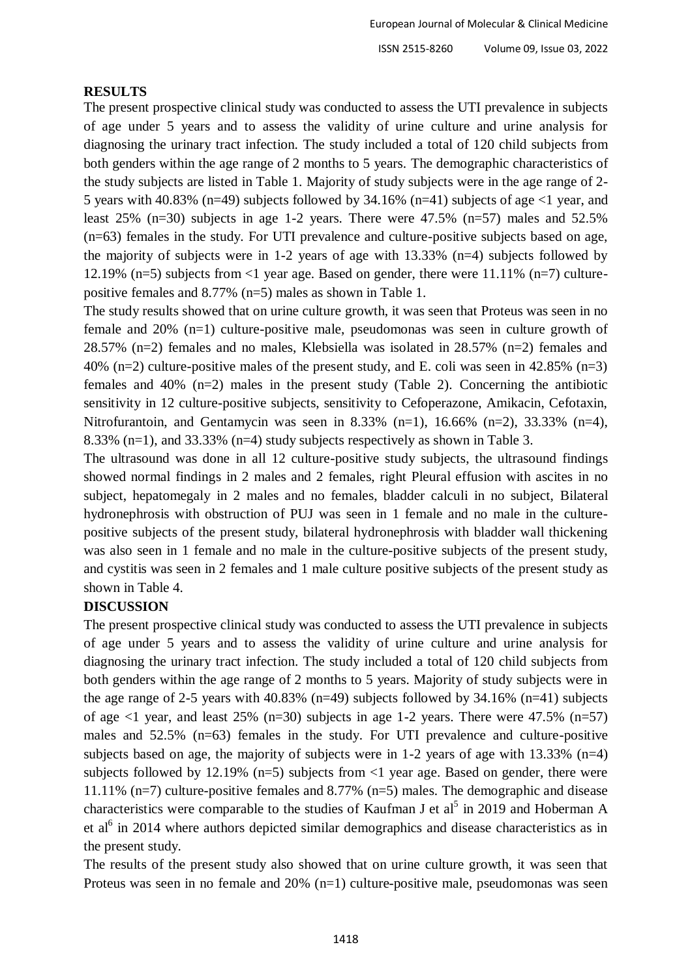#### **RESULTS**

The present prospective clinical study was conducted to assess the UTI prevalence in subjects of age under 5 years and to assess the validity of urine culture and urine analysis for diagnosing the urinary tract infection. The study included a total of 120 child subjects from both genders within the age range of 2 months to 5 years. The demographic characteristics of the study subjects are listed in Table 1. Majority of study subjects were in the age range of 2- 5 years with 40.83% (n=49) subjects followed by 34.16% (n=41) subjects of age  $\leq 1$  year, and least 25% (n=30) subjects in age 1-2 years. There were 47.5% (n=57) males and 52.5% (n=63) females in the study. For UTI prevalence and culture-positive subjects based on age, the majority of subjects were in 1-2 years of age with 13.33% (n=4) subjects followed by 12.19% (n=5) subjects from  $\leq$ 1 year age. Based on gender, there were 11.11% (n=7) culturepositive females and 8.77% (n=5) males as shown in Table 1.

The study results showed that on urine culture growth, it was seen that Proteus was seen in no female and 20% (n=1) culture-positive male, pseudomonas was seen in culture growth of 28.57% (n=2) females and no males, Klebsiella was isolated in 28.57% (n=2) females and 40% (n=2) culture-positive males of the present study, and E. coli was seen in 42.85% (n=3) females and 40% (n=2) males in the present study (Table 2). Concerning the antibiotic sensitivity in 12 culture-positive subjects, sensitivity to Cefoperazone, Amikacin, Cefotaxin, Nitrofurantoin, and Gentamycin was seen in 8.33% (n=1), 16.66% (n=2), 33.33% (n=4), 8.33% (n=1), and 33.33% (n=4) study subjects respectively as shown in Table 3.

The ultrasound was done in all 12 culture-positive study subjects, the ultrasound findings showed normal findings in 2 males and 2 females, right Pleural effusion with ascites in no subject, hepatomegaly in 2 males and no females, bladder calculi in no subject, Bilateral hydronephrosis with obstruction of PUJ was seen in 1 female and no male in the culturepositive subjects of the present study, bilateral hydronephrosis with bladder wall thickening was also seen in 1 female and no male in the culture-positive subjects of the present study, and cystitis was seen in 2 females and 1 male culture positive subjects of the present study as shown in Table 4.

## **DISCUSSION**

The present prospective clinical study was conducted to assess the UTI prevalence in subjects of age under 5 years and to assess the validity of urine culture and urine analysis for diagnosing the urinary tract infection. The study included a total of 120 child subjects from both genders within the age range of 2 months to 5 years. Majority of study subjects were in the age range of 2-5 years with 40.83% (n=49) subjects followed by  $34.16\%$  (n=41) subjects of age  $\langle$ 1 year, and least 25% (n=30) subjects in age 1-2 years. There were 47.5% (n=57) males and 52.5% (n=63) females in the study. For UTI prevalence and culture-positive subjects based on age, the majority of subjects were in  $1-2$  years of age with  $13.33\%$  (n=4) subjects followed by 12.19% ( $n=5$ ) subjects from <1 year age. Based on gender, there were 11.11% (n=7) culture-positive females and 8.77% (n=5) males. The demographic and disease characteristics were comparable to the studies of Kaufman J et  $al<sup>5</sup>$  in 2019 and Hoberman A et al<sup>6</sup> in 2014 where authors depicted similar demographics and disease characteristics as in the present study.

The results of the present study also showed that on urine culture growth, it was seen that Proteus was seen in no female and 20% (n=1) culture-positive male, pseudomonas was seen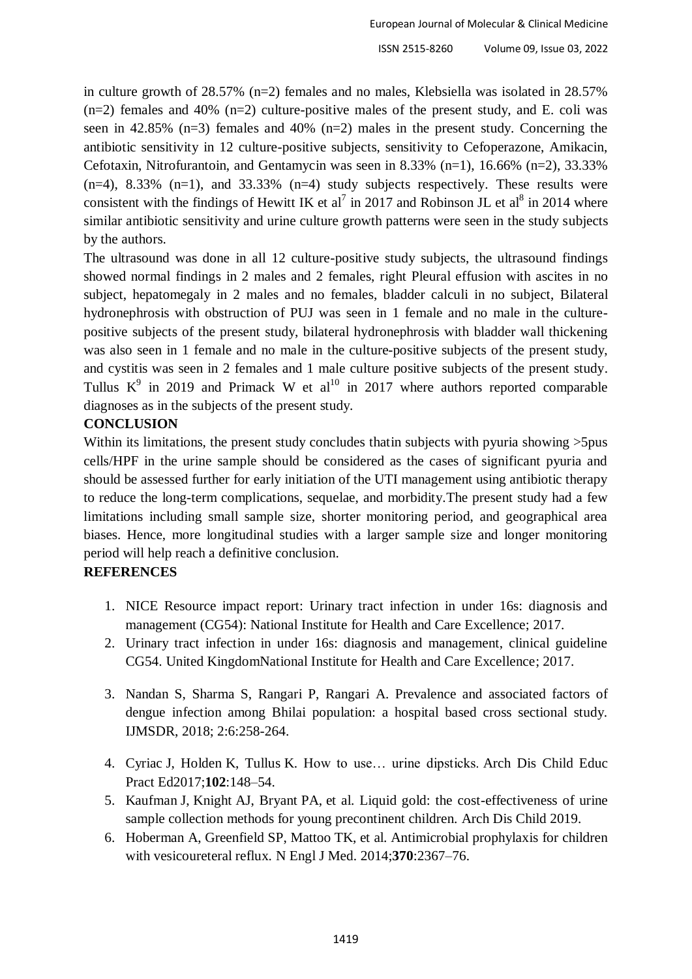in culture growth of 28.57% (n=2) females and no males, Klebsiella was isolated in 28.57%  $(n=2)$  females and 40%  $(n=2)$  culture-positive males of the present study, and E. coli was seen in 42.85% (n=3) females and 40% (n=2) males in the present study. Concerning the antibiotic sensitivity in 12 culture-positive subjects, sensitivity to Cefoperazone, Amikacin, Cefotaxin, Nitrofurantoin, and Gentamycin was seen in 8.33% (n=1), 16.66% (n=2), 33.33%  $(n=4)$ , 8.33%  $(n=1)$ , and 33.33%  $(n=4)$  study subjects respectively. These results were consistent with the findings of Hewitt IK et al<sup>7</sup> in 2017 and Robinson JL et al<sup>8</sup> in 2014 where similar antibiotic sensitivity and urine culture growth patterns were seen in the study subjects by the authors.

The ultrasound was done in all 12 culture-positive study subjects, the ultrasound findings showed normal findings in 2 males and 2 females, right Pleural effusion with ascites in no subject, hepatomegaly in 2 males and no females, bladder calculi in no subject, Bilateral hydronephrosis with obstruction of PUJ was seen in 1 female and no male in the culturepositive subjects of the present study, bilateral hydronephrosis with bladder wall thickening was also seen in 1 female and no male in the culture-positive subjects of the present study, and cystitis was seen in 2 females and 1 male culture positive subjects of the present study. Tullus  $K^9$  in 2019 and Primack W et al<sup>10</sup> in 2017 where authors reported comparable diagnoses as in the subjects of the present study.

# **CONCLUSION**

Within its limitations, the present study concludes that in subjects with pyuria showing  $>5$ pus cells/HPF in the urine sample should be considered as the cases of significant pyuria and should be assessed further for early initiation of the UTI management using antibiotic therapy to reduce the long-term complications, sequelae, and morbidity.The present study had a few limitations including small sample size, shorter monitoring period, and geographical area biases. Hence, more longitudinal studies with a larger sample size and longer monitoring period will help reach a definitive conclusion.

# **REFERENCES**

- 1. NICE Resource impact report: Urinary tract infection in under 16s: diagnosis and management (CG54): National Institute for Health and Care Excellence; 2017.
- 2. Urinary tract infection in under 16s: diagnosis and management, clinical guideline CG54. United KingdomNational Institute for Health and Care Excellence; 2017.
- 3. Nandan S, Sharma S, Rangari P, Rangari A. Prevalence and associated factors of dengue infection among Bhilai population: a hospital based cross sectional study. IJMSDR, 2018; 2:6:258-264.
- 4. Cyriac J, Holden K, Tullus K. How to use… urine dipsticks. Arch Dis Child Educ Pract Ed2017;**102**:148–54.
- 5. Kaufman J, Knight AJ, Bryant PA, et al. Liquid gold: the cost-effectiveness of urine sample collection methods for young precontinent children. Arch Dis Child 2019.
- 6. Hoberman A, Greenfield SP, Mattoo TK, et al. Antimicrobial prophylaxis for children with vesicoureteral reflux. N Engl J Med. 2014;**370**:2367–76.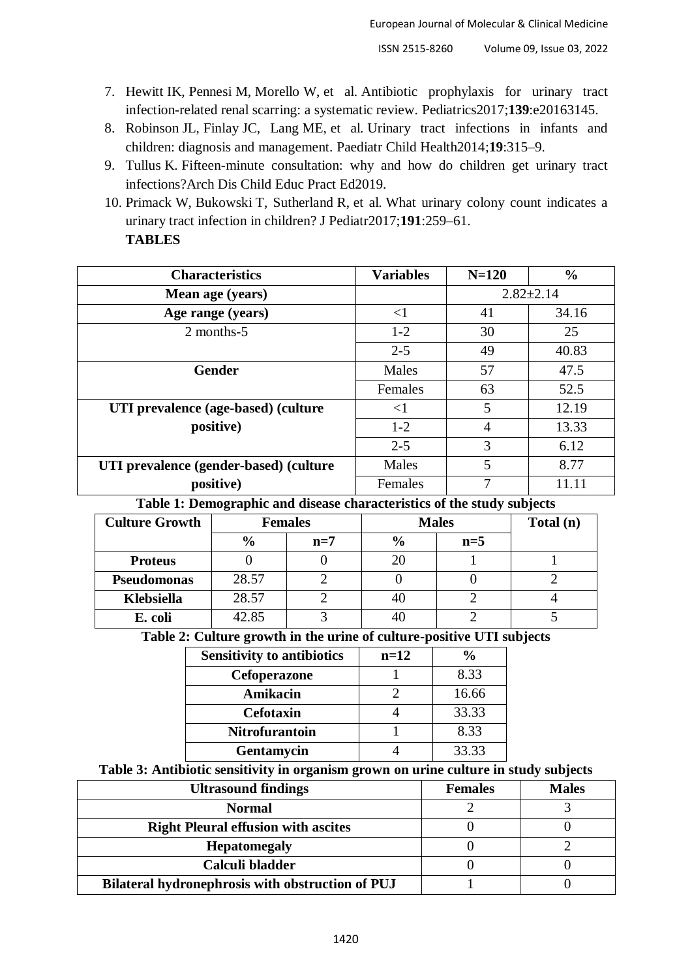- 7. Hewitt IK, Pennesi M, Morello W, et al. Antibiotic prophylaxis for urinary tract infection-related renal scarring: a systematic review. Pediatrics2017;**139**:e20163145.
- 8. Robinson JL, Finlay JC, Lang ME, et al. Urinary tract infections in infants and children: diagnosis and management. Paediatr Child Health2014;**19**:315–9.
- 9. Tullus K. Fifteen-minute consultation: why and how do children get urinary tract infections?Arch Dis Child Educ Pract Ed2019.
- 10. Primack W, Bukowski T, Sutherland R, et al. What urinary colony count indicates a urinary tract infection in children? J Pediatr2017;**191**:259–61. **TABLES**

| <b>Characteristics</b>                 | <b>Variables</b> | $N=120$         | $\frac{0}{0}$ |
|----------------------------------------|------------------|-----------------|---------------|
| Mean age (years)                       |                  | $2.82 \pm 2.14$ |               |
| Age range (years)                      | $<$ l            | 41              | 34.16         |
| 2 months-5                             | $1-2$            | 30              | 25            |
|                                        | $2 - 5$          | 49              | 40.83         |
| Gender                                 | Males            | 57              | 47.5          |
|                                        | Females          | 63              | 52.5          |
| UTI prevalence (age-based) (culture    | $\leq$           | 5               | 12.19         |
| positive)                              | $1 - 2$          | $\overline{4}$  | 13.33         |
|                                        | $2 - 5$          | 3               | 6.12          |
| UTI prevalence (gender-based) (culture | Males            | 5               | 8.77          |
| positive)                              | Females          |                 | 11.11         |

#### **Table 1: Demographic and disease characteristics of the study subjects**

| <b>Culture Growth</b> | <b>Females</b> |       | <b>Males</b>  |       | Total (n) |
|-----------------------|----------------|-------|---------------|-------|-----------|
|                       | $\frac{6}{9}$  | $n=7$ | $\frac{0}{0}$ | $n=5$ |           |
| <b>Proteus</b>        |                |       |               |       |           |
| <b>Pseudomonas</b>    | 28.57          |       |               |       |           |
| <b>Klebsiella</b>     | 28.57          |       |               |       |           |
| E. coli               | 42.85          |       |               |       |           |

#### **Table 2: Culture growth in the urine of culture-positive UTI subjects**

| <b>Sensitivity to antibiotics</b> | $n=12$ | %     |
|-----------------------------------|--------|-------|
| Cefoperazone                      |        | 8.33  |
| Amikacin                          |        | 16.66 |
| <b>Cefotaxin</b>                  |        | 33.33 |
| <b>Nitrofurantoin</b>             |        | 8.33  |
| Gentamycin                        |        | 33.33 |

#### **Table 3: Antibiotic sensitivity in organism grown on urine culture in study subjects**

| <b>Ultrasound findings</b>                       | <b>Females</b> | <b>Males</b> |
|--------------------------------------------------|----------------|--------------|
| <b>Normal</b>                                    |                |              |
| <b>Right Pleural effusion with ascites</b>       |                |              |
| <b>Hepatomegaly</b>                              |                |              |
| Calculi bladder                                  |                |              |
| Bilateral hydronephrosis with obstruction of PUJ |                |              |